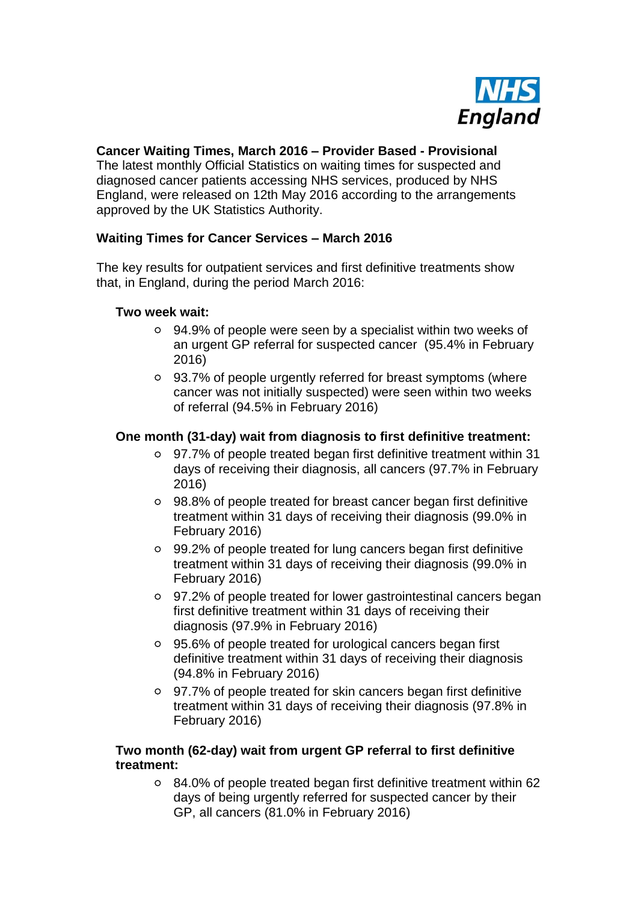

#### **Cancer Waiting Times, March 2016 – Provider Based - Provisional** The latest monthly Official Statistics on waiting times for suspected and diagnosed cancer patients accessing NHS services, produced by NHS England, were released on 12th May 2016 according to the arrangements approved by the UK Statistics Authority.

# **Waiting Times for Cancer Services – March 2016**

The key results for outpatient services and first definitive treatments show that, in England, during the period March 2016:

### **Two week wait:**

- 94.9% of people were seen by a specialist within two weeks of an urgent GP referral for suspected cancer (95.4% in February 2016)
- 93.7% of people urgently referred for breast symptoms (where cancer was not initially suspected) were seen within two weeks of referral (94.5% in February 2016)

### **One month (31-day) wait from diagnosis to first definitive treatment:**

- 97.7% of people treated began first definitive treatment within 31 days of receiving their diagnosis, all cancers (97.7% in February 2016)
- 98.8% of people treated for breast cancer began first definitive treatment within 31 days of receiving their diagnosis (99.0% in February 2016)
- 99.2% of people treated for lung cancers began first definitive treatment within 31 days of receiving their diagnosis (99.0% in February 2016)
- 97.2% of people treated for lower gastrointestinal cancers began first definitive treatment within 31 days of receiving their diagnosis (97.9% in February 2016)
- 95.6% of people treated for urological cancers began first definitive treatment within 31 days of receiving their diagnosis (94.8% in February 2016)
- 97.7% of people treated for skin cancers began first definitive treatment within 31 days of receiving their diagnosis (97.8% in February 2016)

### **Two month (62-day) wait from urgent GP referral to first definitive treatment:**

84.0% of people treated began first definitive treatment within 62 days of being urgently referred for suspected cancer by their GP, all cancers (81.0% in February 2016)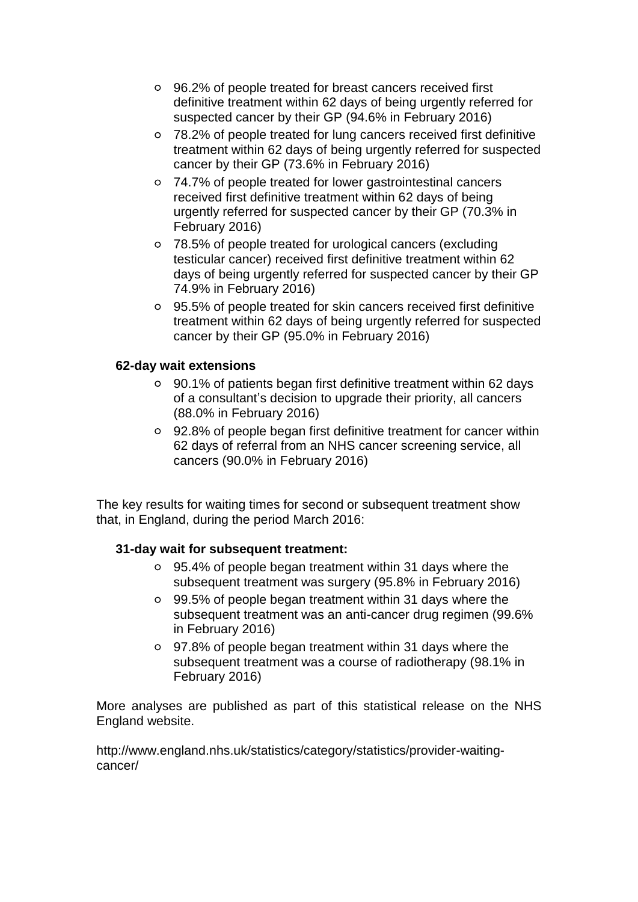- 96.2% of people treated for breast cancers received first definitive treatment within 62 days of being urgently referred for suspected cancer by their GP (94.6% in February 2016)
- 78.2% of people treated for lung cancers received first definitive treatment within 62 days of being urgently referred for suspected cancer by their GP (73.6% in February 2016)
- 74.7% of people treated for lower gastrointestinal cancers received first definitive treatment within 62 days of being urgently referred for suspected cancer by their GP (70.3% in February 2016)
- 78.5% of people treated for urological cancers (excluding testicular cancer) received first definitive treatment within 62 days of being urgently referred for suspected cancer by their GP 74.9% in February 2016)
- 95.5% of people treated for skin cancers received first definitive treatment within 62 days of being urgently referred for suspected cancer by their GP (95.0% in February 2016)

## **62-day wait extensions**

- 90.1% of patients began first definitive treatment within 62 days of a consultant's decision to upgrade their priority, all cancers (88.0% in February 2016)
- 92.8% of people began first definitive treatment for cancer within 62 days of referral from an NHS cancer screening service, all cancers (90.0% in February 2016)

The key results for waiting times for second or subsequent treatment show that, in England, during the period March 2016:

### **31-day wait for subsequent treatment:**

- 95.4% of people began treatment within 31 days where the subsequent treatment was surgery (95.8% in February 2016)
- 99.5% of people began treatment within 31 days where the subsequent treatment was an anti-cancer drug regimen (99.6% in February 2016)
- 97.8% of people began treatment within 31 days where the subsequent treatment was a course of radiotherapy (98.1% in February 2016)

More analyses are published as part of this statistical release on the NHS England website.

[http://www.england.nhs.uk/statistics/category/statistics/provider-waiting](http://www.england.nhs.uk/statistics/category/statistics/provider-waiting-cancer/)[cancer/](http://www.england.nhs.uk/statistics/category/statistics/provider-waiting-cancer/)